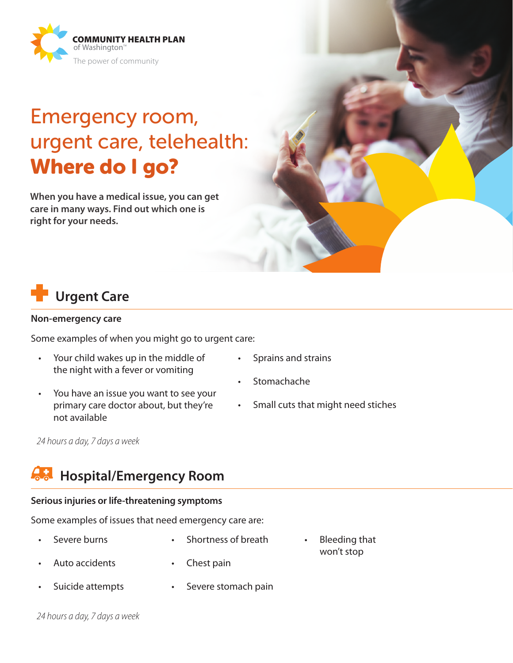

# Emergency room, urgent care, telehealth: Where do I go?

**When you have a medical issue, you can get care in many ways. Find out which one is right for your needs.**



#### **Non-emergency care**

Some examples of when you might go to urgent care:

- Your child wakes up in the middle of the night with a fever or vomiting
- You have an issue you want to see your primary care doctor about, but they're not available
- Sprains and strains
- **Stomachache**
- Small cuts that might need stiches

• Bleeding that won't stop

*24 hours a day, 7 days a week*

### **Hospital/Emergency Room**

### **Serious injuries or life-threatening symptoms**

Some examples of issues that need emergency care are:

- Severe burns Shortness of breath
	- Auto accidents Chest pain
- Suicide attempts • Severe stomach pain

*24 hours a day, 7 days a week*